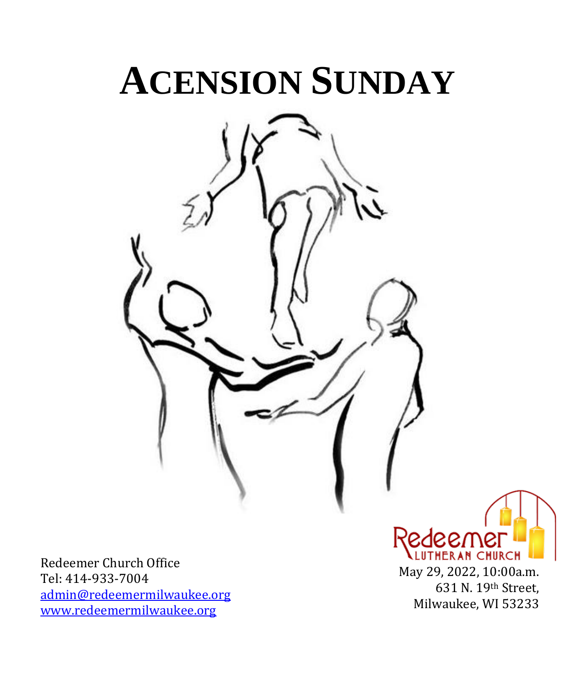# **ACENSION SUNDAY**



Redeemer Church Office Tel: 414-933-7004 [admin@redeemermilwaukee.org](mailto:admin@redeemermilwaukee.org) [www.redeemermilwaukee.org](http://www.redeemermilwaukee.org/)

Redeemei LUTHERAN CHURCH May 29, 2022, 10:00a.m. 631 N. 19th Street, Milwaukee, WI 53233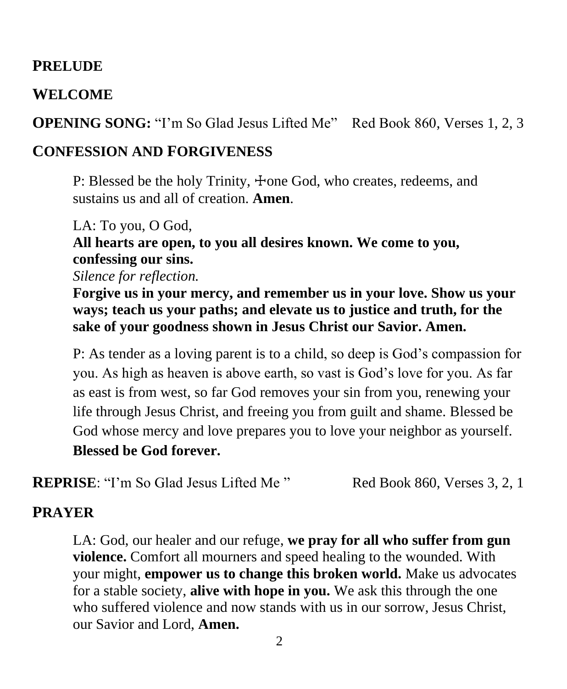#### **PRELUDE**

#### **WELCOME**

**OPENING SONG:** "I'm So Glad Jesus Lifted Me" Red Book 860, Verses 1, 2, 3

#### **CONFESSION AND FORGIVENESS**

P: Blessed be the holy Trinity,  $\pm$ one God, who creates, redeems, and sustains us and all of creation. **Amen**.

LA: To you, O God, **All hearts are open, to you all desires known. We come to you, confessing our sins.**

*Silence for reflection.*

**Forgive us in your mercy, and remember us in your love. Show us your ways; teach us your paths; and elevate us to justice and truth, for the sake of your goodness shown in Jesus Christ our Savior. Amen.**

P: As tender as a loving parent is to a child, so deep is God's compassion for you. As high as heaven is above earth, so vast is God's love for you. As far as east is from west, so far God removes your sin from you, renewing your life through Jesus Christ, and freeing you from guilt and shame. Blessed be God whose mercy and love prepares you to love your neighbor as yourself. **Blessed be God forever.**

**REPRISE:** "I'm So Glad Jesus Lifted Me" Red Book 860, Verses 3, 2, 1

#### **PRAYER**

LA: God, our healer and our refuge, **we pray for all who suffer from gun violence.** Comfort all mourners and speed healing to the wounded. With your might, **empower us to change this broken world.** Make us advocates for a stable society, **alive with hope in you.** We ask this through the one who suffered violence and now stands with us in our sorrow, Jesus Christ, our Savior and Lord, **Amen.**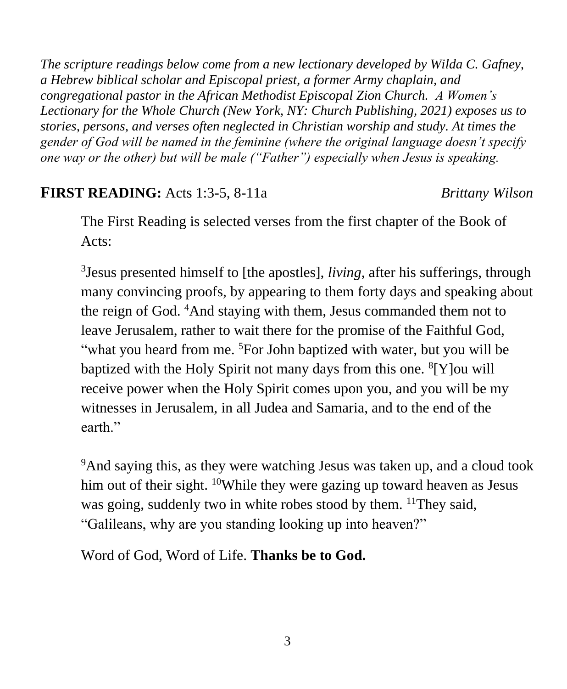*The scripture readings below come from a new lectionary developed by Wilda C. Gafney, a Hebrew biblical scholar and Episcopal priest, a former Army chaplain, and congregational pastor in the African Methodist Episcopal Zion Church. A Women's Lectionary for the Whole Church (New York, NY: Church Publishing, 2021) exposes us to stories, persons, and verses often neglected in Christian worship and study. At times the gender of God will be named in the feminine (where the original language doesn't specify one way or the other) but will be male ("Father") especially when Jesus is speaking.*

#### **FIRST READING:** Acts 1:3-5, 8-11a *Brittany Wilson*

The First Reading is selected verses from the first chapter of the Book of Acts:

3 Jesus presented himself to [the apostles], *living*, after his sufferings, through many convincing proofs, by appearing to them forty days and speaking about the reign of God. <sup>4</sup>And staying with them, Jesus commanded them not to leave Jerusalem, rather to wait there for the promise of the Faithful God, "what you heard from me. <sup>5</sup>For John baptized with water, but you will be baptized with the Holy Spirit not many days from this one. <sup>8</sup>[Y] ou will receive power when the Holy Spirit comes upon you, and you will be my witnesses in Jerusalem, in all Judea and Samaria, and to the end of the earth."

<sup>9</sup>And saying this, as they were watching Jesus was taken up, and a cloud took him out of their sight. <sup>10</sup>While they were gazing up toward heaven as Jesus was going, suddenly two in white robes stood by them. <sup>11</sup>They said, "Galileans, why are you standing looking up into heaven?"

Word of God, Word of Life. **Thanks be to God.**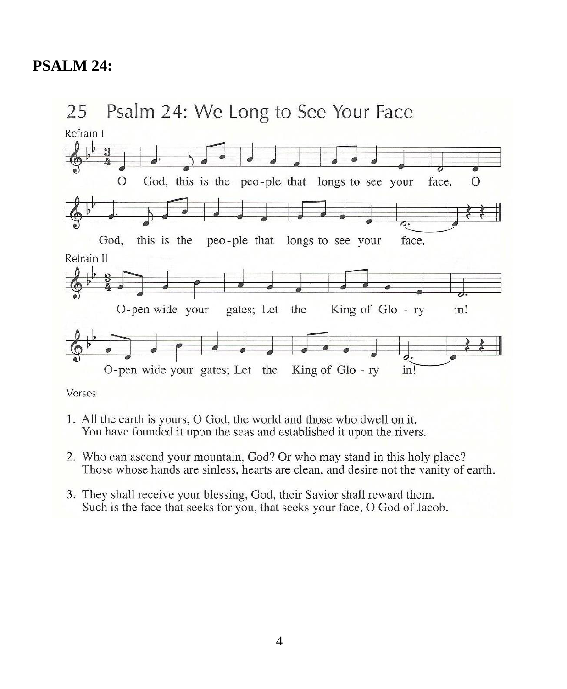### **PSALM 24:**



Verses

- 1. All the earth is yours, O God, the world and those who dwell on it. You have founded it upon the seas and established it upon the rivers.
- 2. Who can ascend your mountain, God? Or who may stand in this holy place? Those whose hands are sinless, hearts are clean, and desire not the vanity of earth.
- 3. They shall receive your blessing, God, their Savior shall reward them. Such is the face that seeks for you, that seeks your face, O God of Jacob.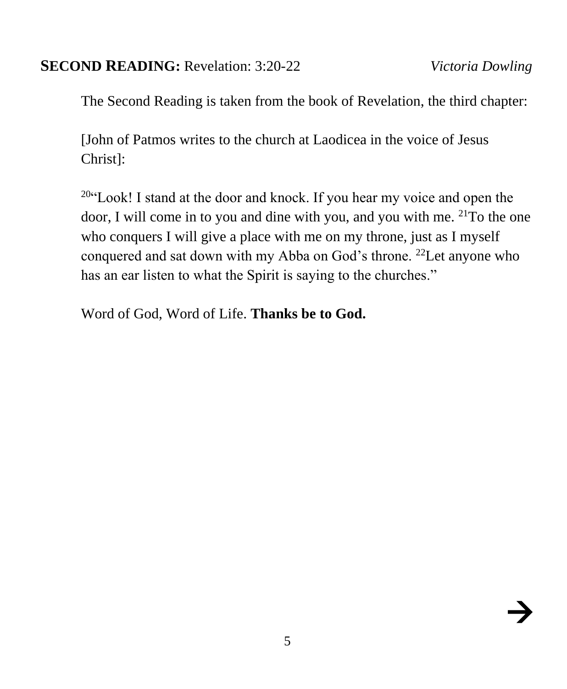#### **SECOND READING:** Revelation: 3:20-22 *Victoria Dowling*

The Second Reading is taken from the book of Revelation, the third chapter:

[John of Patmos writes to the church at Laodicea in the voice of Jesus Christ]:

 $20$ "Look! I stand at the door and knock. If you hear my voice and open the door, I will come in to you and dine with you, and you with me. <sup>21</sup>To the one who conquers I will give a place with me on my throne, just as I myself conquered and sat down with my Abba on God's throne. <sup>22</sup>Let anyone who has an ear listen to what the Spirit is saying to the churches."

Word of God, Word of Life. **Thanks be to God.**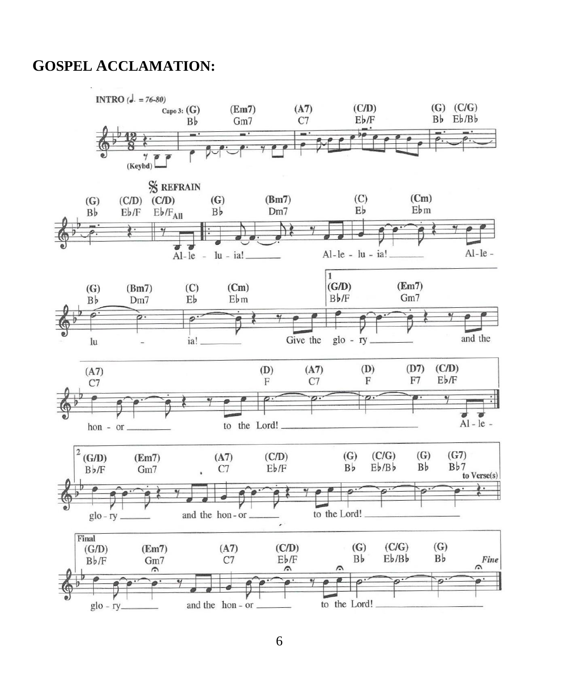#### **GOSPEL ACCLAMATION:**

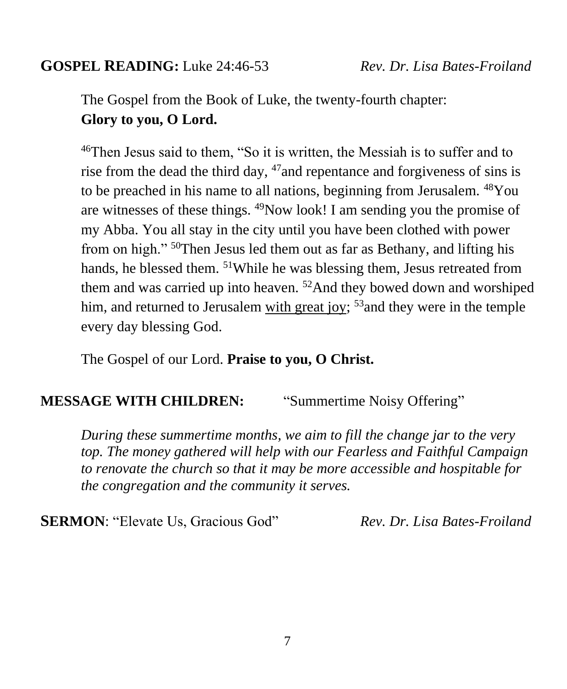#### **GOSPEL READING:** Luke 24:46-53 *Rev. Dr. Lisa Bates-Froiland*

The Gospel from the Book of Luke, the twenty-fourth chapter: **Glory to you, O Lord.**

<sup>46</sup>Then Jesus said to them, "So it is written, the Messiah is to suffer and to rise from the dead the third day,  $47$  and repentance and forgiveness of sins is to be preached in his name to all nations, beginning from Jerusalem. <sup>48</sup>You are witnesses of these things. <sup>49</sup>Now look! I am sending you the promise of my Abba. You all stay in the city until you have been clothed with power from on high." <sup>50</sup>Then Jesus led them out as far as Bethany, and lifting his hands, he blessed them. <sup>51</sup>While he was blessing them, Jesus retreated from them and was carried up into heaven.  $52$  And they bowed down and worshiped him, and returned to Jerusalem with great joy;  $53$  and they were in the temple every day blessing God.

The Gospel of our Lord. **Praise to you, O Christ.**

#### **MESSAGE WITH CHILDREN:** "Summertime Noisy Offering"

*During these summertime months, we aim to fill the change jar to the very top. The money gathered will help with our Fearless and Faithful Campaign to renovate the church so that it may be more accessible and hospitable for the congregation and the community it serves.*

**SERMON**: "Elevate Us, Gracious God" *Rev. Dr. Lisa Bates-Froiland*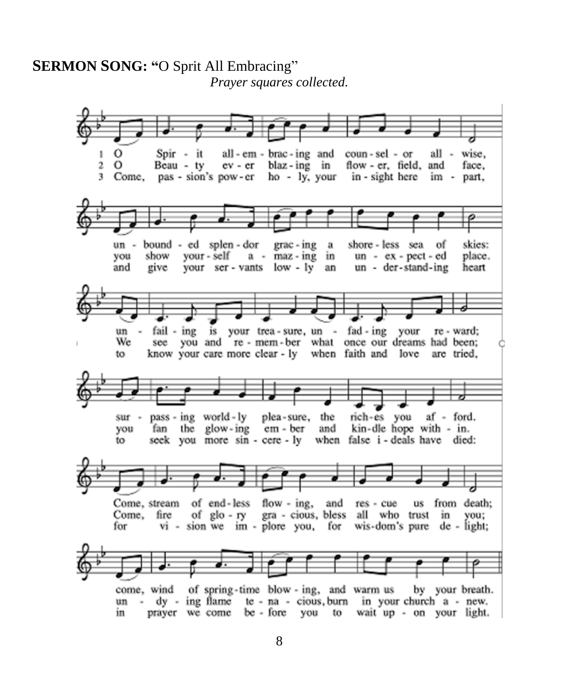#### **SERMON SONG: "O Sprit All Embracing"** Prayer squares collected.

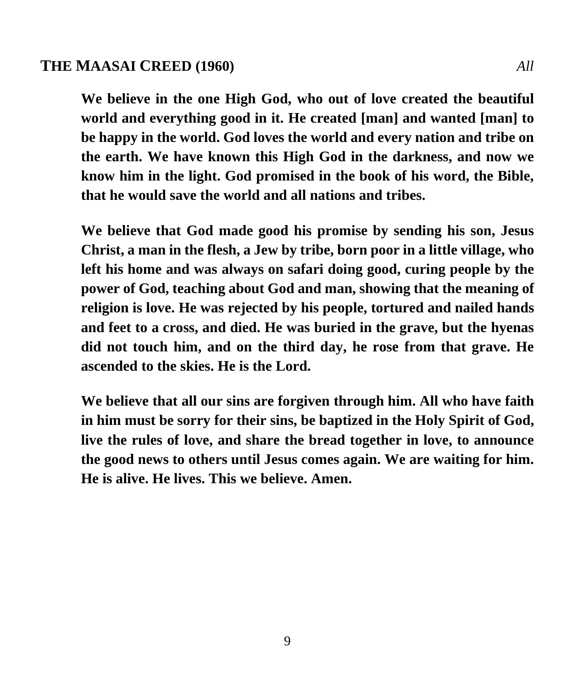#### **THE MAASAI CREED (1960)** *All*

**We believe in the one High God, who out of love created the beautiful world and everything good in it. He created [man] and wanted [man] to be happy in the world. God loves the world and every nation and tribe on the earth. We have known this High God in the darkness, and now we know him in the light. God promised in the book of his word, the Bible, that he would save the world and all nations and tribes.**

**We believe that God made good his promise by sending his son, Jesus Christ, a man in the flesh, a Jew by tribe, born poor in a little village, who left his home and was always on safari doing good, curing people by the power of God, teaching about God and man, showing that the meaning of religion is love. He was rejected by his people, tortured and nailed hands and feet to a cross, and died. He was buried in the grave, but the hyenas did not touch him, and on the third day, he rose from that grave. He ascended to the skies. He is the Lord.**

**We believe that all our sins are forgiven through him. All who have faith in him must be sorry for their sins, be baptized in the Holy Spirit of God, live the rules of love, and share the bread together in love, to announce the good news to others until Jesus comes again. We are waiting for him. He is alive. He lives. This we believe. Amen.**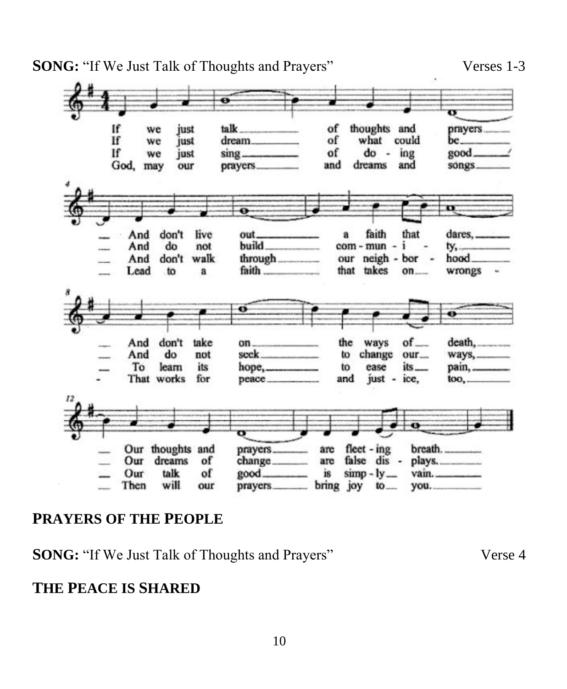**SONG:** "If We Just Talk of Thoughts and Prayers" Verses 1-3



#### **PRAYERS OF THE PEOPLE**

**SONG:** "If We Just Talk of Thoughts and Prayers" Verse 4

#### **THE PEACE IS SHARED**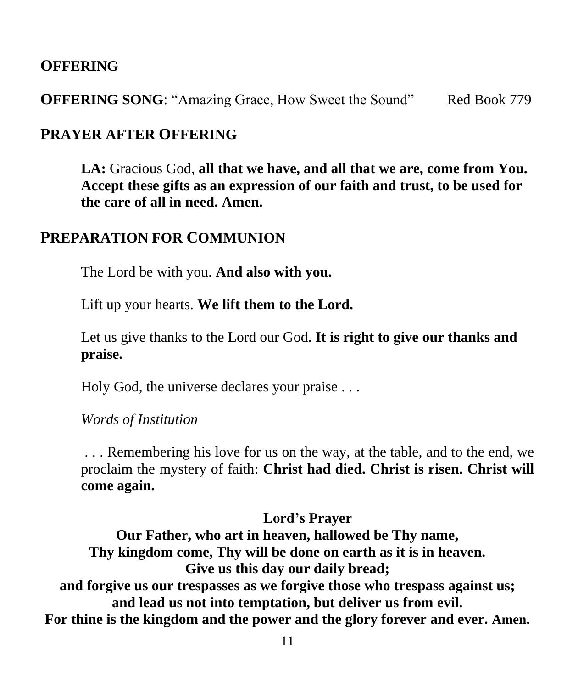#### **OFFERING**

**OFFERING SONG:** "Amazing Grace, How Sweet the Sound" Red Book 779

#### **PRAYER AFTER OFFERING**

**LA:** Gracious God, **all that we have, and all that we are, come from You. Accept these gifts as an expression of our faith and trust, to be used for the care of all in need. Amen.**

#### **PREPARATION FOR COMMUNION**

The Lord be with you. **And also with you.**

Lift up your hearts. **We lift them to the Lord.**

Let us give thanks to the Lord our God. **It is right to give our thanks and praise.**

Holy God, the universe declares your praise . . .

*Words of Institution*

. . . Remembering his love for us on the way, at the table, and to the end, we proclaim the mystery of faith: **Christ had died. Christ is risen. Christ will come again.**

#### **Lord's Prayer**

**Our Father, who art in heaven, hallowed be Thy name, Thy kingdom come, Thy will be done on earth as it is in heaven. Give us this day our daily bread; and forgive us our trespasses as we forgive those who trespass against us; and lead us not into temptation, but deliver us from evil. For thine is the kingdom and the power and the glory forever and ever. Amen.**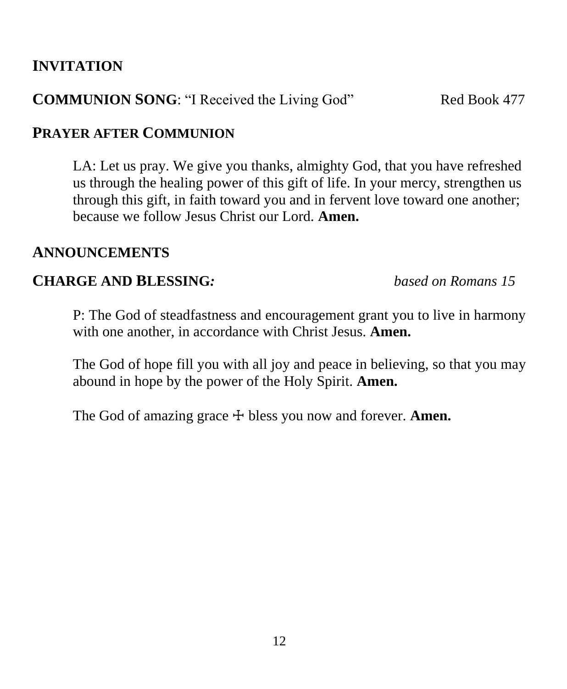#### **INVITATION**

#### **COMMUNION SONG**: "I Received the Living God" Red Book 477

#### **PRAYER AFTER COMMUNION**

LA: Let us pray. We give you thanks, almighty God, that you have refreshed us through the healing power of this gift of life. In your mercy, strengthen us through this gift, in faith toward you and in fervent love toward one another; because we follow Jesus Christ our Lord. **Amen.**

#### **ANNOUNCEMENTS**

#### **CHARGE AND BLESSING***: based on Romans 15*

P: The God of steadfastness and encouragement grant you to live in harmony with one another, in accordance with Christ Jesus. **Amen.**

The God of hope fill you with all joy and peace in believing, so that you may abound in hope by the power of the Holy Spirit. **Amen.**

The God of amazing grace  $\pm$  bless you now and forever. **Amen.**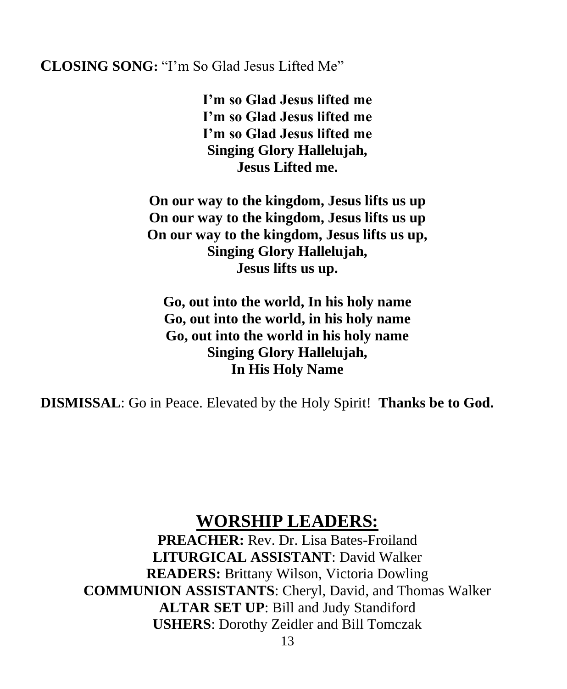#### **CLOSING SONG:** "I'm So Glad Jesus Lifted Me"

**I'm so Glad Jesus lifted me I'm so Glad Jesus lifted me I'm so Glad Jesus lifted me Singing Glory Hallelujah, Jesus Lifted me.**

**On our way to the kingdom, Jesus lifts us up On our way to the kingdom, Jesus lifts us up On our way to the kingdom, Jesus lifts us up, Singing Glory Hallelujah, Jesus lifts us up.**

**Go, out into the world, In his holy name Go, out into the world, in his holy name Go, out into the world in his holy name Singing Glory Hallelujah, In His Holy Name**

**DISMISSAL**: Go in Peace. Elevated by the Holy Spirit! **Thanks be to God.**

### **WORSHIP LEADERS:**

**PREACHER:** Rev. Dr. Lisa Bates-Froiland **LITURGICAL ASSISTANT**: David Walker **READERS:** Brittany Wilson, Victoria Dowling **COMMUNION ASSISTANTS**: Cheryl, David, and Thomas Walker **ALTAR SET UP**: Bill and Judy Standiford **USHERS**: Dorothy Zeidler and Bill Tomczak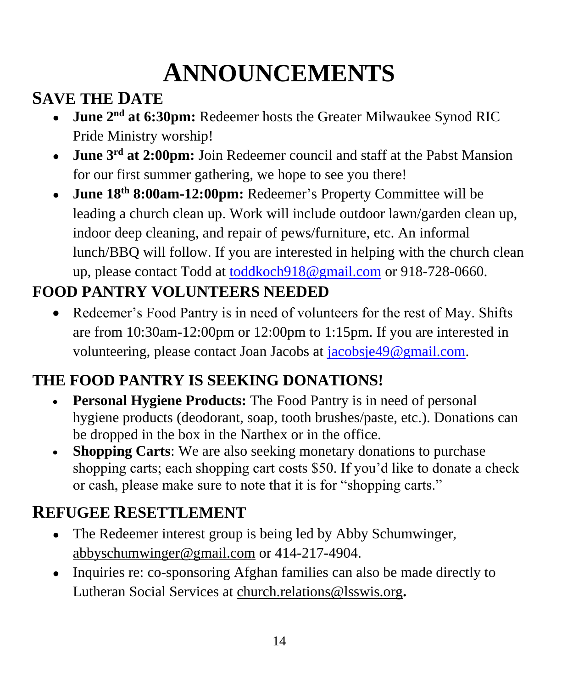## **ANNOUNCEMENTS**

## **SAVE THE DATE**

- **June 2nd at 6:30pm:** Redeemer hosts the Greater Milwaukee Synod RIC Pride Ministry worship!
- **June 3rd at 2:00pm:** Join Redeemer council and staff at the Pabst Mansion for our first summer gathering, we hope to see you there!
- **June 18th 8:00am-12:00pm:** Redeemer's Property Committee will be leading a church clean up. Work will include outdoor lawn/garden clean up, indoor deep cleaning, and repair of pews/furniture, etc. An informal lunch/BBQ will follow. If you are interested in helping with the church clean up, please contact Todd at [toddkoch918@gmail.com](mailto:toddkoch918@gmail.com) or 918-728-0660.

## **FOOD PANTRY VOLUNTEERS NEEDED**

• Redeemer's Food Pantry is in need of volunteers for the rest of May. Shifts are from 10:30am-12:00pm or 12:00pm to 1:15pm. If you are interested in volunteering, please contact Joan Jacobs at [jacobsje49@gmail.com.](mailto:jacobsje49@gmail.com)

### **THE FOOD PANTRY IS SEEKING DONATIONS!**

- **Personal Hygiene Products:** The Food Pantry is in need of personal hygiene products (deodorant, soap, tooth brushes/paste, etc.). Donations can be dropped in the box in the Narthex or in the office.
- **Shopping Carts**: We are also seeking monetary donations to purchase shopping carts; each shopping cart costs \$50. If you'd like to donate a check or cash, please make sure to note that it is for "shopping carts."

## **REFUGEE RESETTLEMENT**

- The Redeemer interest group is being led by Abby Schumwinger, [abbyschumwinger@gmail.com](mailto:abbyschumwinger@gmail.com) or 414-217-4904.
- Inquiries re: co-sponsoring Afghan families can also be made directly to Lutheran Social Services at [church.relations@lsswis.org](mailto:church.relations@lsswis.org)**.**